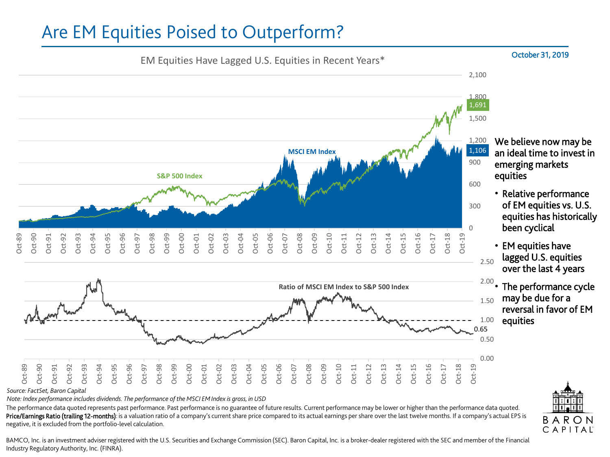## Are EM Equities Poised to Outperform?



The performance data quoted represents past performance. Past performance is no guarantee of future results. Current performance may be lower or higher than the performance data quoted. Price/Earnings Ratio (trailing 12-months): is a valuation ratio of a company's current share price compared to its actual earnings per share over the last twelve months. If a company's actual EPS is negative, it is excluded from the portfolio-level calculation.

BAMCO, Inc. is an investment adviser registered with the U.S. Securities and Exchange Commission (SEC). Baron Capital, Inc. is a broker-dealer registered with the SEC and member of the Financial Industry Regulatory Authority, Inc. (FINRA).

## October 31, 2019

BARON CAPITAL